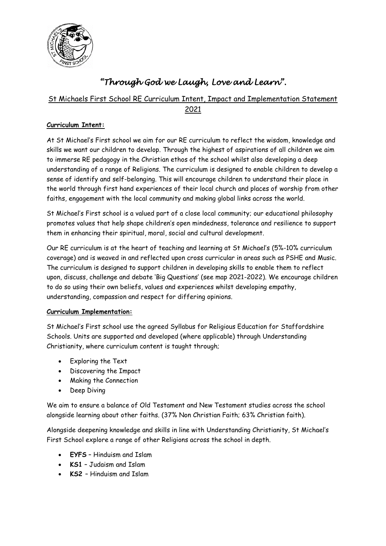

# *"Through God we Laugh, Love and Learn".*

## St Michaels First School RE Curriculum Intent, Impact and Implementation Statement

2021

### **Curriculum Intent:**

At St Michael's First school we aim for our RE curriculum to reflect the wisdom, knowledge and skills we want our children to develop. Through the highest of aspirations of all children we aim to immerse RE pedagogy in the Christian ethos of the school whilst also developing a deep understanding of a range of Religions. The curriculum is designed to enable children to develop a sense of identify and self-belonging. This will encourage children to understand their place in the world through first hand experiences of their local church and places of worship from other faiths, engagement with the local community and making global links across the world.

St Michael's First school is a valued part of a close local community; our educational philosophy promotes values that help shape children's open mindedness, tolerance and resilience to support them in enhancing their spiritual, moral, social and cultural development.

Our RE curriculum is at the heart of teaching and learning at St Michael's (5%-10% curriculum coverage) and is weaved in and reflected upon cross curricular in areas such as PSHE and Music. The curriculum is designed to support children in developing skills to enable them to reflect upon, discuss, challenge and debate 'Big Questions' (see map 2021-2022). We encourage children to do so using their own beliefs, values and experiences whilst developing empathy, understanding, compassion and respect for differing opinions.

#### **Curriculum Implementation:**

St Michael's First school use the agreed Syllabus for Religious Education for Staffordshire Schools. Units are supported and developed (where applicable) through Understanding Christianity, where curriculum content is taught through;

- Exploring the Text
- Discovering the Impact
- Making the Connection
- Deep Diving

We aim to ensure a balance of Old Testament and New Testament studies across the school alongside learning about other faiths. (37% Non Christian Faith; 63% Christian faith).

Alongside deepening knowledge and skills in line with Understanding Christianity, St Michael's First School explore a range of other Religions across the school in depth.

- **EYFS** Hinduism and Islam
- **KS1** Judaism and Islam
- **KS2**  Hinduism and Islam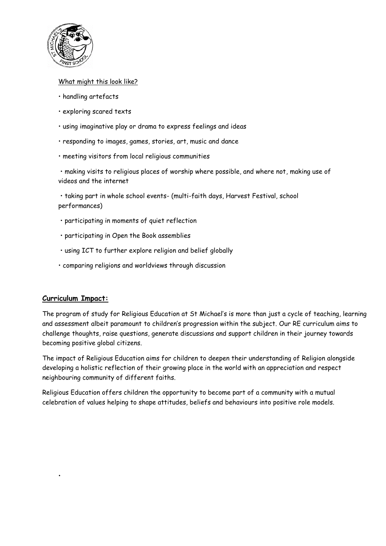

#### What might this look like?

- handling artefacts
- exploring scared texts
- using imaginative play or drama to express feelings and ideas
- responding to images, games, stories, art, music and dance
- meeting visitors from local religious communities

• making visits to religious places of worship where possible, and where not, making use of videos and the internet

• taking part in whole school events- (multi-faith days, Harvest Festival, school performances)

- participating in moments of quiet reflection
- participating in Open the Book assemblies
- using ICT to further explore religion and belief globally
- comparing religions and worldviews through discussion

#### **Curriculum Impact:**

•

The program of study for Religious Education at St Michael's is more than just a cycle of teaching, learning and assessment albeit paramount to children's progression within the subject. Our RE curriculum aims to challenge thoughts, raise questions, generate discussions and support children in their journey towards becoming positive global citizens.

The impact of Religious Education aims for children to deepen their understanding of Religion alongside developing a holistic reflection of their growing place in the world with an appreciation and respect neighbouring community of different faiths.

Religious Education offers children the opportunity to become part of a community with a mutual celebration of values helping to shape attitudes, beliefs and behaviours into positive role models.